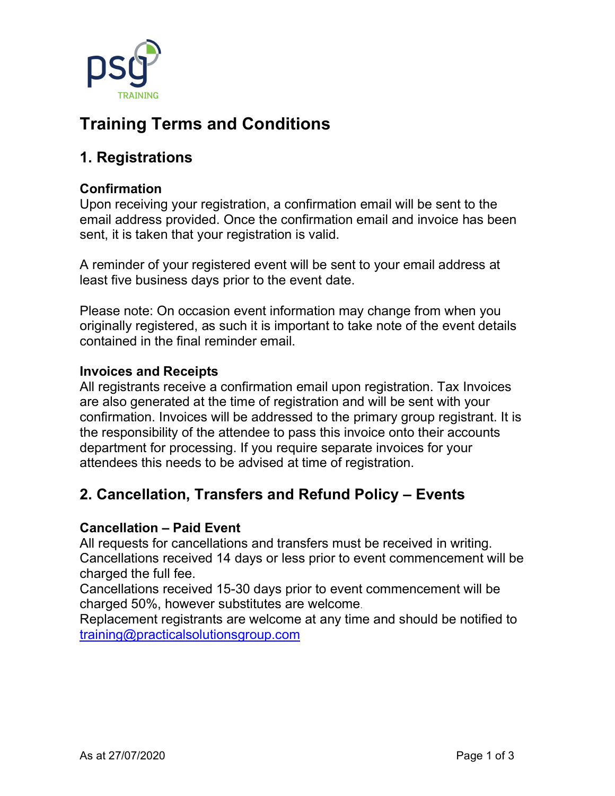

# Training Terms and Conditions

# 1. Registrations

#### Confirmation

Upon receiving your registration, a confirmation email will be sent to the email address provided. Once the confirmation email and invoice has been sent, it is taken that your registration is valid.

A reminder of your registered event will be sent to your email address at least five business days prior to the event date.

Please note: On occasion event information may change from when you originally registered, as such it is important to take note of the event details contained in the final reminder email.

#### Invoices and Receipts

All registrants receive a confirmation email upon registration. Tax Invoices are also generated at the time of registration and will be sent with your confirmation. Invoices will be addressed to the primary group registrant. It is the responsibility of the attendee to pass this invoice onto their accounts department for processing. If you require separate invoices for your attendees this needs to be advised at time of registration.

### 2. Cancellation, Transfers and Refund Policy – Events

#### Cancellation – Paid Event

All requests for cancellations and transfers must be received in writing. Cancellations received 14 days or less prior to event commencement will be charged the full fee.

Cancellations received 15-30 days prior to event commencement will be charged 50%, however substitutes are welcome.

Replacement registrants are welcome at any time and should be notified to training@practicalsolutionsgroup.com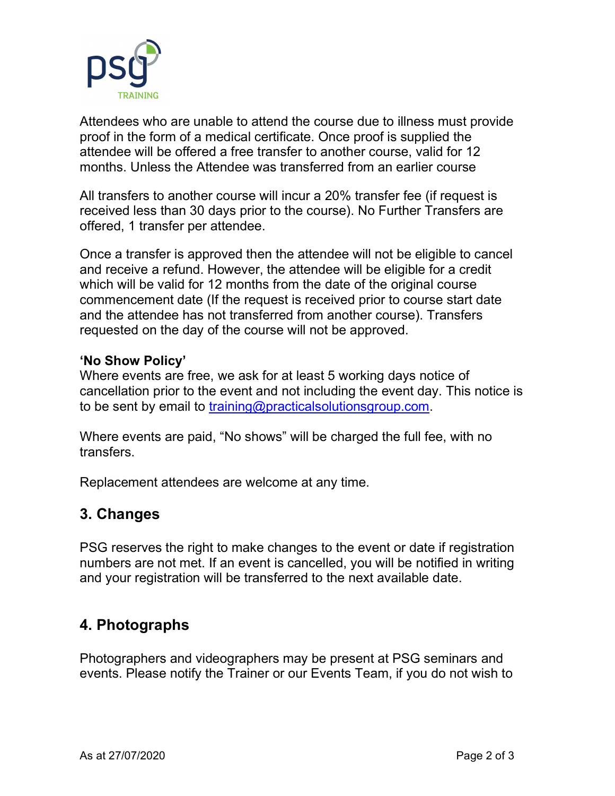

Attendees who are unable to attend the course due to illness must provide proof in the form of a medical certificate. Once proof is supplied the attendee will be offered a free transfer to another course, valid for 12 months. Unless the Attendee was transferred from an earlier course

All transfers to another course will incur a 20% transfer fee (if request is received less than 30 days prior to the course). No Further Transfers are offered, 1 transfer per attendee.

Once a transfer is approved then the attendee will not be eligible to cancel and receive a refund. However, the attendee will be eligible for a credit which will be valid for 12 months from the date of the original course commencement date (If the request is received prior to course start date and the attendee has not transferred from another course). Transfers requested on the day of the course will not be approved.

#### 'No Show Policy'

Where events are free, we ask for at least 5 working days notice of cancellation prior to the event and not including the event day. This notice is to be sent by email to training@practicalsolutionsgroup.com.

Where events are paid, "No shows" will be charged the full fee, with no transfers.

Replacement attendees are welcome at any time.

### 3. Changes

PSG reserves the right to make changes to the event or date if registration numbers are not met. If an event is cancelled, you will be notified in writing and your registration will be transferred to the next available date.

## 4. Photographs

Photographers and videographers may be present at PSG seminars and events. Please notify the Trainer or our Events Team, if you do not wish to